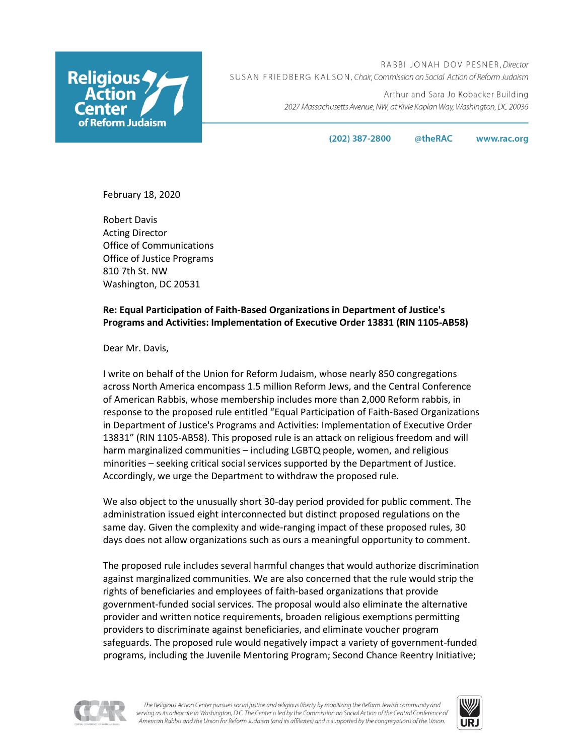

RABBI JONAH DOV PESNER, Director SUSAN FRIEDBERG KALSON, Chair, Commission on Social Action of Reform Judaism

> Arthur and Sara Jo Kobacker Building 2027 Massachusetts Avenue, NW, at Kivie Kaplan Way, Washington, DC 20036

> > $(202)$  387-2800 @theRAC www.rac.org

February 18, 2020

Robert Davis Acting Director Office of Communications Office of Justice Programs 810 7th St. NW Washington, DC 20531

## **Re: Equal Participation of Faith-Based Organizations in Department of Justice's Programs and Activities: Implementation of Executive Order 13831 (RIN 1105-AB58)**

Dear Mr. Davis,

I write on behalf of the Union for Reform Judaism, whose nearly 850 congregations across North America encompass 1.5 million Reform Jews, and the Central Conference of American Rabbis, whose membership includes more than 2,000 Reform rabbis, in response to the proposed rule entitled "Equal Participation of Faith-Based Organizations in Department of Justice's Programs and Activities: Implementation of Executive Order 13831" (RIN 1105-AB58). This proposed rule is an attack on religious freedom and will harm marginalized communities – including LGBTQ people, women, and religious minorities – seeking critical social services supported by the Department of Justice. Accordingly, we urge the Department to withdraw the proposed rule.

We also object to the unusually short 30-day period provided for public comment. The administration issued eight interconnected but distinct proposed regulations on the same day. Given the complexity and wide-ranging impact of these proposed rules, 30 days does not allow organizations such as ours a meaningful opportunity to comment.

The proposed rule includes several harmful changes that would authorize discrimination against marginalized communities. We are also concerned that the rule would strip the rights of beneficiaries and employees of faith-based organizations that provide government-funded social services. The proposal would also eliminate the alternative provider and written notice requirements, broaden religious exemptions permitting providers to discriminate against beneficiaries, and eliminate voucher program safeguards. The proposed rule would negatively impact a variety of government-funded programs, including the Juvenile Mentoring Program; Second Chance Reentry Initiative;



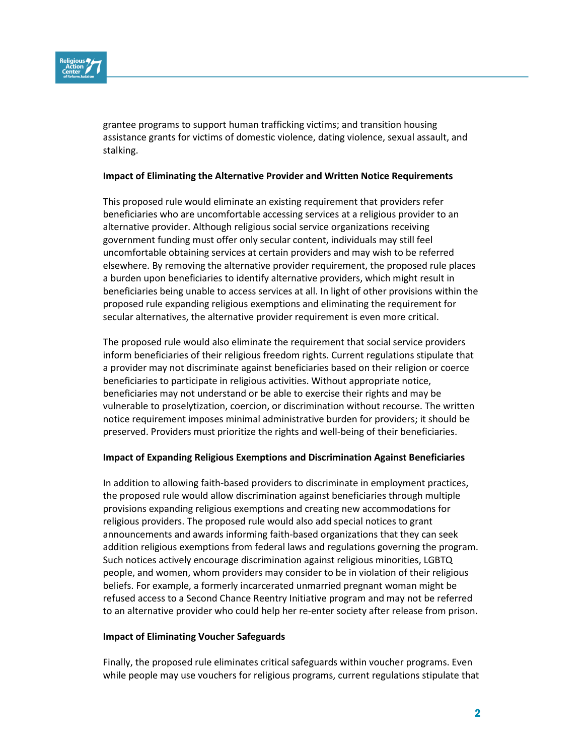

grantee programs to support human trafficking victims; and transition housing assistance grants for victims of domestic violence, dating violence, sexual assault, and stalking.

## **Impact of Eliminating the Alternative Provider and Written Notice Requirements**

This proposed rule would eliminate an existing requirement that providers refer beneficiaries who are uncomfortable accessing services at a religious provider to an alternative provider. Although religious social service organizations receiving government funding must offer only secular content, individuals may still feel uncomfortable obtaining services at certain providers and may wish to be referred elsewhere. By removing the alternative provider requirement, the proposed rule places a burden upon beneficiaries to identify alternative providers, which might result in beneficiaries being unable to access services at all. In light of other provisions within the proposed rule expanding religious exemptions and eliminating the requirement for secular alternatives, the alternative provider requirement is even more critical.

The proposed rule would also eliminate the requirement that social service providers inform beneficiaries of their religious freedom rights. Current regulations stipulate that a provider may not discriminate against beneficiaries based on their religion or coerce beneficiaries to participate in religious activities. Without appropriate notice, beneficiaries may not understand or be able to exercise their rights and may be vulnerable to proselytization, coercion, or discrimination without recourse. The written notice requirement imposes minimal administrative burden for providers; it should be preserved. Providers must prioritize the rights and well-being of their beneficiaries.

## **Impact of Expanding Religious Exemptions and Discrimination Against Beneficiaries**

In addition to allowing faith-based providers to discriminate in employment practices, the proposed rule would allow discrimination against beneficiaries through multiple provisions expanding religious exemptions and creating new accommodations for religious providers. The proposed rule would also add special notices to grant announcements and awards informing faith-based organizations that they can seek addition religious exemptions from federal laws and regulations governing the program. Such notices actively encourage discrimination against religious minorities, LGBTQ people, and women, whom providers may consider to be in violation of their religious beliefs. For example, a formerly incarcerated unmarried pregnant woman might be refused access to a Second Chance Reentry Initiative program and may not be referred to an alternative provider who could help her re-enter society after release from prison.

## **Impact of Eliminating Voucher Safeguards**

Finally, the proposed rule eliminates critical safeguards within voucher programs. Even while people may use vouchers for religious programs, current regulations stipulate that